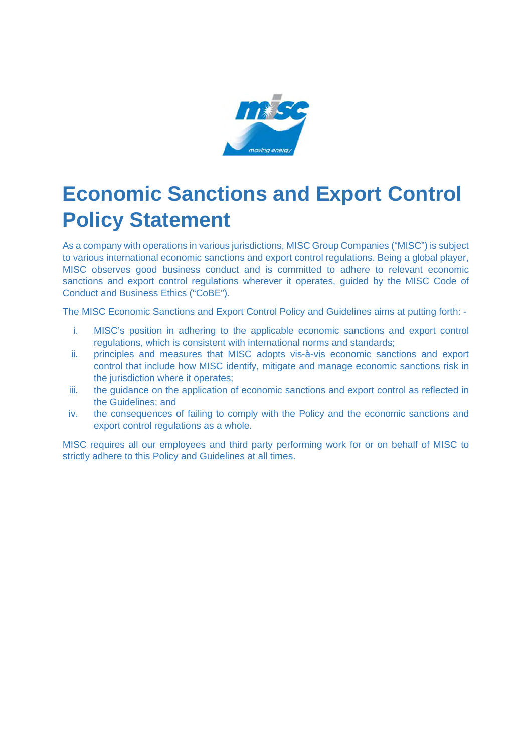

## **Economic Sanctions and Export Control Policy Statement**

As a company with operations in various jurisdictions, MISC Group Companies ("MISC") is subject to various international economic sanctions and export control regulations. Being a global player, MISC observes good business conduct and is committed to adhere to relevant economic sanctions and export control regulations wherever it operates, guided by the MISC Code of Conduct and Business Ethics ("CoBE").

The MISC Economic Sanctions and Export Control Policy and Guidelines aims at putting forth: -

- i. MISC's position in adhering to the applicable economic sanctions and export control regulations, which is consistent with international norms and standards;
- ii. principles and measures that MISC adopts vis-à-vis economic sanctions and export control that include how MISC identify, mitigate and manage economic sanctions risk in the jurisdiction where it operates;
- iii. the guidance on the application of economic sanctions and export control as reflected in the Guidelines; and
- iv. the consequences of failing to comply with the Policy and the economic sanctions and export control regulations as a whole.

MISC requires all our employees and third party performing work for or on behalf of MISC to strictly adhere to this Policy and Guidelines at all times.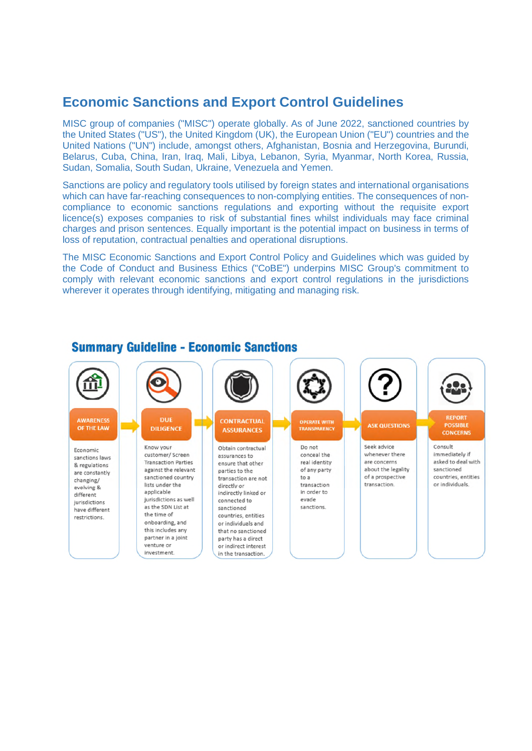## **Economic Sanctions and Export Control Guidelines**

MISC group of companies ("MISC") operate globally. As of June 2022, sanctioned countries by the United States ("US"), the United Kingdom (UK), the European Union ("EU") countries and the United Nations ("UN") include, amongst others, Afghanistan, Bosnia and Herzegovina, Burundi, Belarus, Cuba, China, Iran, Iraq, Mali, Libya, Lebanon, Syria, Myanmar, North Korea, Russia, Sudan, Somalia, South Sudan, Ukraine, Venezuela and Yemen.

Sanctions are policy and regulatory tools utilised by foreign states and international organisations which can have far-reaching consequences to non-complying entities. The consequences of noncompliance to economic sanctions regulations and exporting without the requisite export licence(s) exposes companies to risk of substantial fines whilst individuals may face criminal charges and prison sentences. Equally important is the potential impact on business in terms of loss of reputation, contractual penalties and operational disruptions.

The MISC Economic Sanctions and Export Control Policy and Guidelines which was guided by the Code of Conduct and Business Ethics ("CoBE") underpins MISC Group's commitment to comply with relevant economic sanctions and export control regulations in the jurisdictions wherever it operates through identifying, mitigating and managing risk.



## **Summary Guideline - Economic Sanctions**